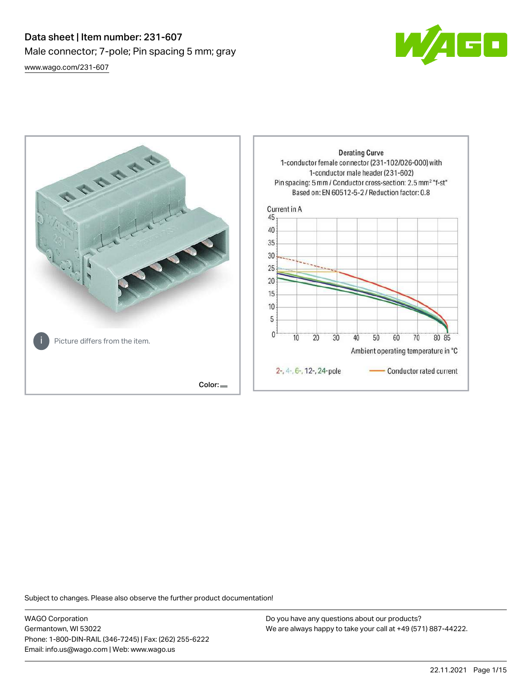# Data sheet | Item number: 231-607 Male connector; 7-pole; Pin spacing 5 mm; gray [www.wago.com/231-607](http://www.wago.com/231-607)





Subject to changes. Please also observe the further product documentation!

WAGO Corporation Germantown, WI 53022 Phone: 1-800-DIN-RAIL (346-7245) | Fax: (262) 255-6222 Email: info.us@wago.com | Web: www.wago.us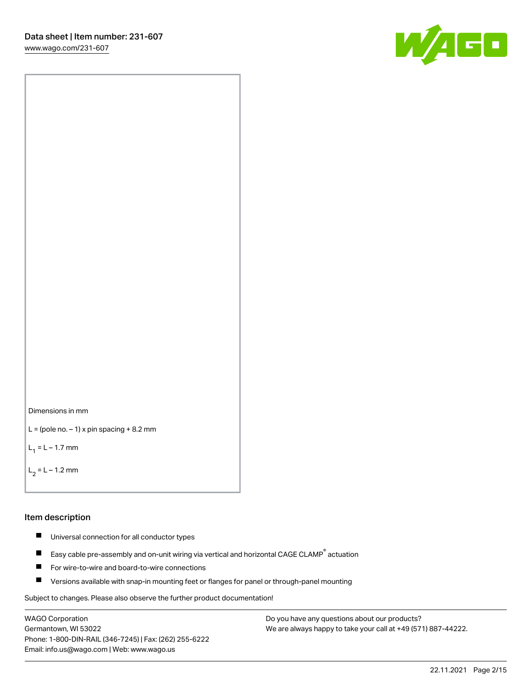[www.wago.com/231-607](http://www.wago.com/231-607)





```
L = (pole no. -1) x pin spacing +8.2 mm
```
 $L_1 = L - 1.7$  mm

 $L_2 = L - 1.2$  mm

#### Item description

- $\blacksquare$ Universal connection for all conductor types
- Easy cable pre-assembly and on-unit wiring via vertical and horizontal CAGE CLAMP<sup>®</sup> actuation  $\blacksquare$
- П For wire-to-wire and board-to-wire connections
- $\blacksquare$ Versions available with snap-in mounting feet or flanges for panel or through-panel mounting

Subject to changes. Please also observe the further product documentation!

WAGO Corporation Germantown, WI 53022 Phone: 1-800-DIN-RAIL (346-7245) | Fax: (262) 255-6222 Email: info.us@wago.com | Web: www.wago.us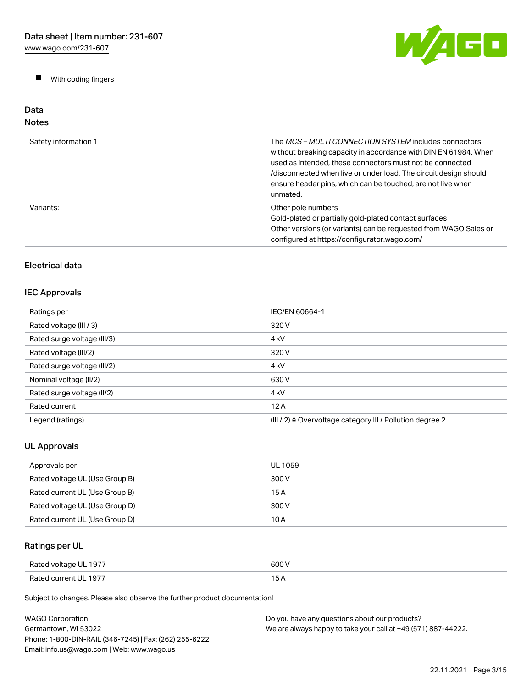$\blacksquare$ With coding fingers



#### Data Notes

| Safety information 1 | The <i>MCS – MULTI CONNECTION SYSTEM</i> includes connectors<br>without breaking capacity in accordance with DIN EN 61984. When<br>used as intended, these connectors must not be connected<br>/disconnected when live or under load. The circuit design should<br>ensure header pins, which can be touched, are not live when<br>unmated. |
|----------------------|--------------------------------------------------------------------------------------------------------------------------------------------------------------------------------------------------------------------------------------------------------------------------------------------------------------------------------------------|
| Variants:            | Other pole numbers<br>Gold-plated or partially gold-plated contact surfaces<br>Other versions (or variants) can be requested from WAGO Sales or<br>configured at https://configurator.wago.com/                                                                                                                                            |

# Electrical data

## IEC Approvals

| Ratings per                 | IEC/EN 60664-1                                                       |
|-----------------------------|----------------------------------------------------------------------|
| Rated voltage (III / 3)     | 320 V                                                                |
| Rated surge voltage (III/3) | 4 <sub>k</sub> V                                                     |
| Rated voltage (III/2)       | 320 V                                                                |
| Rated surge voltage (III/2) | 4 <sub>k</sub> V                                                     |
| Nominal voltage (II/2)      | 630 V                                                                |
| Rated surge voltage (II/2)  | 4 <sub>k</sub> V                                                     |
| Rated current               | 12A                                                                  |
| Legend (ratings)            | (III / 2) $\triangleq$ Overvoltage category III / Pollution degree 2 |

# UL Approvals

| Approvals per                  | UL 1059 |
|--------------------------------|---------|
| Rated voltage UL (Use Group B) | 300 V   |
| Rated current UL (Use Group B) | 15 A    |
| Rated voltage UL (Use Group D) | 300 V   |
| Rated current UL (Use Group D) | 10 A    |

# Ratings per UL

| Rated voltage UL 1977 | 600 V |
|-----------------------|-------|
| Rated current UL 1977 | . .   |

| WAGO Corporation                                       | Do you have any questions about our products?                 |
|--------------------------------------------------------|---------------------------------------------------------------|
| Germantown, WI 53022                                   | We are always happy to take your call at +49 (571) 887-44222. |
| Phone: 1-800-DIN-RAIL (346-7245)   Fax: (262) 255-6222 |                                                               |
| Email: info.us@wago.com   Web: www.wago.us             |                                                               |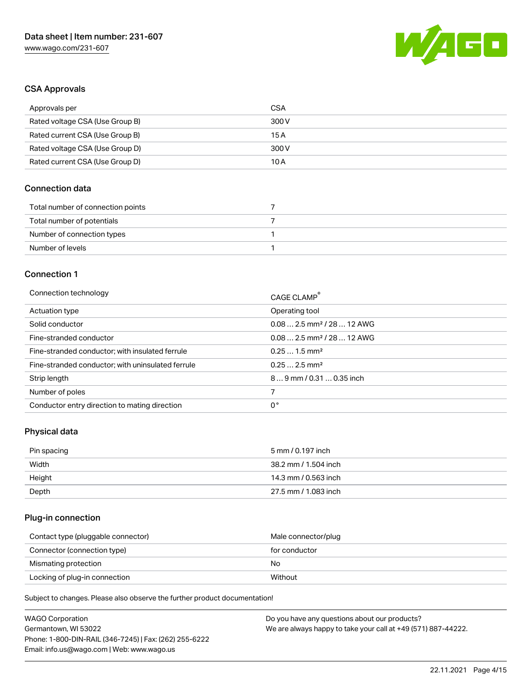

### CSA Approvals

| Approvals per                   | CSA   |
|---------------------------------|-------|
| Rated voltage CSA (Use Group B) | 300 V |
| Rated current CSA (Use Group B) | 15 A  |
| Rated voltage CSA (Use Group D) | 300 V |
| Rated current CSA (Use Group D) | 10 A  |

### Connection data

| Total number of connection points |  |
|-----------------------------------|--|
| Total number of potentials        |  |
| Number of connection types        |  |
| Number of levels                  |  |

#### Connection 1

| Connection technology                             | CAGE CLAMP®                            |
|---------------------------------------------------|----------------------------------------|
| Actuation type                                    | Operating tool                         |
| Solid conductor                                   | $0.082.5$ mm <sup>2</sup> / 28  12 AWG |
| Fine-stranded conductor                           | $0.082.5$ mm <sup>2</sup> / 28  12 AWG |
| Fine-stranded conductor; with insulated ferrule   | $0.251.5$ mm <sup>2</sup>              |
| Fine-stranded conductor; with uninsulated ferrule | $0.252.5$ mm <sup>2</sup>              |
| Strip length                                      | $89$ mm / 0.31  0.35 inch              |
| Number of poles                                   |                                        |
| Conductor entry direction to mating direction     | 0°                                     |
|                                                   |                                        |

# Physical data

| Pin spacing | 5 mm / 0.197 inch    |
|-------------|----------------------|
| Width       | 38.2 mm / 1.504 inch |
| Height      | 14.3 mm / 0.563 inch |
| Depth       | 27.5 mm / 1.083 inch |

# Plug-in connection

| Contact type (pluggable connector) | Male connector/plug |
|------------------------------------|---------------------|
| Connector (connection type)        | for conductor       |
| Mismating protection               | No                  |
| Locking of plug-in connection      | Without             |

| <b>WAGO Corporation</b>                                | Do you have any questions about our products?                 |
|--------------------------------------------------------|---------------------------------------------------------------|
| Germantown, WI 53022                                   | We are always happy to take your call at +49 (571) 887-44222. |
| Phone: 1-800-DIN-RAIL (346-7245)   Fax: (262) 255-6222 |                                                               |
| Email: info.us@wago.com   Web: www.wago.us             |                                                               |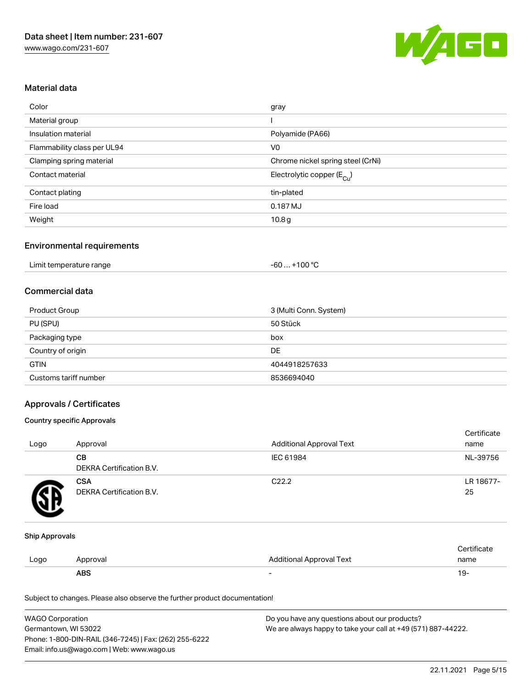

### Material data

| Color                       | gray                                  |
|-----------------------------|---------------------------------------|
| Material group              |                                       |
| Insulation material         | Polyamide (PA66)                      |
| Flammability class per UL94 | V <sub>0</sub>                        |
| Clamping spring material    | Chrome nickel spring steel (CrNi)     |
| Contact material            | Electrolytic copper $(E_{\text{Cl}})$ |
| Contact plating             | tin-plated                            |
| Fire load                   | 0.187 MJ                              |
| Weight                      | 10.8 <sub>g</sub>                     |

### Environmental requirements

| Limit temperature range | $+100 °C$<br>- 60  - |  |
|-------------------------|----------------------|--|
|-------------------------|----------------------|--|

### Commercial data

| Product Group         | 3 (Multi Conn. System) |
|-----------------------|------------------------|
| PU (SPU)              | 50 Stück               |
| Packaging type        | box                    |
| Country of origin     | DE                     |
| <b>GTIN</b>           | 4044918257633          |
| Customs tariff number | 8536694040             |

### Approvals / Certificates

#### Country specific Approvals

| Logo | Approval                               | Additional Approval Text | Certificate<br>name |
|------|----------------------------------------|--------------------------|---------------------|
|      | CВ<br><b>DEKRA Certification B.V.</b>  | IEC 61984                | NL-39756            |
|      | <b>CSA</b><br>DEKRA Certification B.V. | C <sub>22.2</sub>        | LR 18677-<br>25     |

#### Ship Approvals

|      | <b>ABS</b> |                                 | 19-  |
|------|------------|---------------------------------|------|
| Logo | Approval   | <b>Additional Approval Text</b> | name |
|      |            |                                 |      |

| <b>WAGO Corporation</b>                                | Do you have any questions about our products?                 |
|--------------------------------------------------------|---------------------------------------------------------------|
| Germantown, WI 53022                                   | We are always happy to take your call at +49 (571) 887-44222. |
| Phone: 1-800-DIN-RAIL (346-7245)   Fax: (262) 255-6222 |                                                               |
| Email: info.us@wago.com   Web: www.wago.us             |                                                               |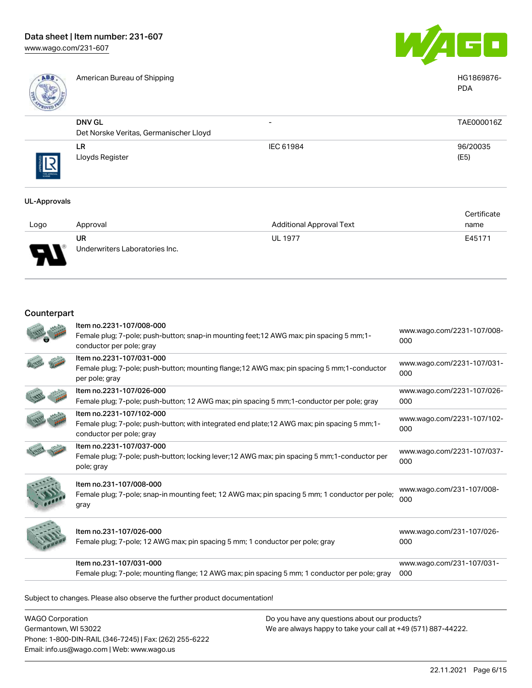

American Bureau of Shipping National American Bureau of Shipping National American Bureau of Shipping National American Bureau of Shipping National American Bureau of Shipping National American Bureau of Shipping National



PDA

|            | <b>DNV GL</b>                          | $\overline{\phantom{0}}$ | TAE000016Z |
|------------|----------------------------------------|--------------------------|------------|
|            | Det Norske Veritas, Germanischer Lloyd |                          |            |
|            | <b>LR</b>                              | IEC 61984                | 96/20035   |
| THE APROVA | Lloyds Register                        |                          | (E5)       |

#### UL-Approvals

|      |                                |                                 | Certificate |
|------|--------------------------------|---------------------------------|-------------|
| Logo | Approval                       | <b>Additional Approval Text</b> | name        |
|      | UR                             | <b>UL 1977</b>                  | E45171      |
| J    | Underwriters Laboratories Inc. |                                 |             |

### Counterpart

| Item no.2231-107/008-000<br>Female plug; 7-pole; push-button; snap-in mounting feet; 12 AWG max; pin spacing 5 mm; 1-<br>conductor per pole; gray     | www.wago.com/2231-107/008-<br>000 |
|-------------------------------------------------------------------------------------------------------------------------------------------------------|-----------------------------------|
| Item no.2231-107/031-000<br>Female plug; 7-pole; push-button; mounting flange; 12 AWG max; pin spacing 5 mm; 1-conductor<br>per pole; gray            | www.wago.com/2231-107/031-<br>000 |
| Item no.2231-107/026-000<br>Female plug; 7-pole; push-button; 12 AWG max; pin spacing 5 mm; 1-conductor per pole; gray                                | www.wago.com/2231-107/026-<br>000 |
| Item no.2231-107/102-000<br>Female plug; 7-pole; push-button; with integrated end plate; 12 AWG max; pin spacing 5 mm; 1-<br>conductor per pole; gray | www.wago.com/2231-107/102-<br>000 |
| Item no.2231-107/037-000<br>Female plug; 7-pole; push-button; locking lever; 12 AWG max; pin spacing 5 mm; 1-conductor per<br>pole; gray              | www.wago.com/2231-107/037-<br>000 |
| Item no.231-107/008-000<br>Female plug; 7-pole; snap-in mounting feet; 12 AWG max; pin spacing 5 mm; 1 conductor per pole;<br>gray                    | www.wago.com/231-107/008-<br>000  |
| Item no.231-107/026-000<br>Female plug; 7-pole; 12 AWG max; pin spacing 5 mm; 1 conductor per pole; gray                                              | www.wago.com/231-107/026-<br>000  |
| Item no.231-107/031-000<br>Female plug; 7-pole; mounting flange; 12 AWG max; pin spacing 5 mm; 1 conductor per pole; gray                             | www.wago.com/231-107/031-<br>000  |

Subject to changes. Please also observe the further product documentation!

WAGO Corporation Germantown, WI 53022 Phone: 1-800-DIN-RAIL (346-7245) | Fax: (262) 255-6222 Email: info.us@wago.com | Web: www.wago.us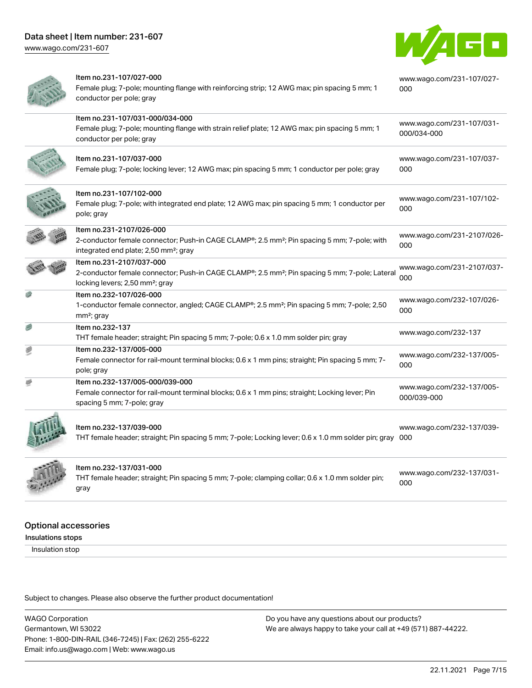[www.wago.com/231-607](http://www.wago.com/231-607)



| Item no.231-107/027-000<br>Female plug; 7-pole; mounting flange with reinforcing strip; 12 AWG max; pin spacing 5 mm; 1<br>conductor per pole; gray                                      | www.wago.com/231-107/027-<br>000         |
|------------------------------------------------------------------------------------------------------------------------------------------------------------------------------------------|------------------------------------------|
| Item no.231-107/031-000/034-000<br>Female plug; 7-pole; mounting flange with strain relief plate; 12 AWG max; pin spacing 5 mm; 1<br>conductor per pole; gray                            | www.wago.com/231-107/031-<br>000/034-000 |
| Item no.231-107/037-000<br>Female plug; 7-pole; locking lever; 12 AWG max; pin spacing 5 mm; 1 conductor per pole; gray                                                                  | www.wago.com/231-107/037-<br>000         |
| Item no.231-107/102-000<br>Female plug; 7-pole; with integrated end plate; 12 AWG max; pin spacing 5 mm; 1 conductor per<br>pole; gray                                                   | www.wago.com/231-107/102-<br>000         |
| Item no.231-2107/026-000<br>2-conductor female connector; Push-in CAGE CLAMP®; 2.5 mm <sup>2</sup> ; Pin spacing 5 mm; 7-pole; with<br>integrated end plate; 2,50 mm <sup>2</sup> ; gray | www.wago.com/231-2107/026-<br>000        |
| Item no.231-2107/037-000<br>2-conductor female connector; Push-in CAGE CLAMP®; 2.5 mm <sup>2</sup> ; Pin spacing 5 mm; 7-pole; Lateral<br>locking levers; 2,50 mm <sup>2</sup> ; gray    | www.wago.com/231-2107/037-<br>000        |
| Item no.232-107/026-000<br>1-conductor female connector, angled; CAGE CLAMP®; 2.5 mm <sup>2</sup> ; Pin spacing 5 mm; 7-pole; 2,50<br>mm <sup>2</sup> ; gray                             | www.wago.com/232-107/026-<br>000         |
| Item no.232-137<br>THT female header; straight; Pin spacing 5 mm; 7-pole; 0.6 x 1.0 mm solder pin; gray                                                                                  | www.wago.com/232-137                     |
| Item no.232-137/005-000<br>Female connector for rail-mount terminal blocks; 0.6 x 1 mm pins; straight; Pin spacing 5 mm; 7-<br>pole; gray                                                | www.wago.com/232-137/005-<br>000         |
| Item no.232-137/005-000/039-000<br>Female connector for rail-mount terminal blocks; 0.6 x 1 mm pins; straight; Locking lever; Pin<br>spacing 5 mm; 7-pole; gray                          | www.wago.com/232-137/005-<br>000/039-000 |
| Item no.232-137/039-000<br>THT female header; straight; Pin spacing 5 mm; 7-pole; Locking lever; 0.6 x 1.0 mm solder pin; gray 000                                                       | www.wago.com/232-137/039-                |
| Item no.232-137/031-000<br>THT female header; straight; Pin spacing 5 mm; 7-pole; clamping collar; 0.6 x 1.0 mm solder pin;<br>gray                                                      | www.wago.com/232-137/031-<br>000         |
|                                                                                                                                                                                          |                                          |

### Optional accessories

Insulations stops

Insulation stop

Subject to changes. Please also observe the further product documentation!

WAGO Corporation Germantown, WI 53022 Phone: 1-800-DIN-RAIL (346-7245) | Fax: (262) 255-6222 Email: info.us@wago.com | Web: www.wago.us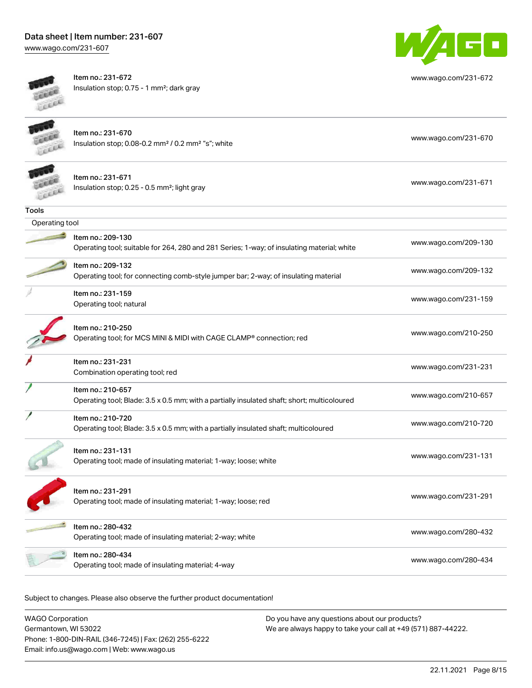[www.wago.com/231-607](http://www.wago.com/231-607)



Item no.: 231-672 Insulation stop; 0.75 - 1 mm²; dark gray



[www.wago.com/231-672](http://www.wago.com/231-672)

|                | Item no.: 231-670<br>Insulation stop; 0.08-0.2 mm <sup>2</sup> / 0.2 mm <sup>2</sup> "s"; white                  | www.wago.com/231-670 |
|----------------|------------------------------------------------------------------------------------------------------------------|----------------------|
|                | Item no.: 231-671<br>Insulation stop; 0.25 - 0.5 mm <sup>2</sup> ; light gray                                    | www.wago.com/231-671 |
| <b>Tools</b>   |                                                                                                                  |                      |
| Operating tool |                                                                                                                  |                      |
|                | Item no.: 209-130<br>Operating tool; suitable for 264, 280 and 281 Series; 1-way; of insulating material; white  | www.wago.com/209-130 |
|                | Item no.: 209-132<br>Operating tool; for connecting comb-style jumper bar; 2-way; of insulating material         | www.wago.com/209-132 |
|                | Item no.: 231-159<br>Operating tool; natural                                                                     | www.wago.com/231-159 |
|                | Item no.: 210-250<br>Operating tool; for MCS MINI & MIDI with CAGE CLAMP® connection; red                        | www.wago.com/210-250 |
|                | Item no.: 231-231<br>Combination operating tool; red                                                             | www.wago.com/231-231 |
|                | Item no.: 210-657<br>Operating tool; Blade: 3.5 x 0.5 mm; with a partially insulated shaft; short; multicoloured | www.wago.com/210-657 |
|                | Item no.: 210-720<br>Operating tool; Blade: 3.5 x 0.5 mm; with a partially insulated shaft; multicoloured        | www.wago.com/210-720 |
|                | Item no.: 231-131<br>Operating tool; made of insulating material; 1-way; loose; white                            | www.wago.com/231-131 |
|                | Item no.: 231-291<br>Operating tool; made of insulating material; 1-way; loose; red                              | www.wago.com/231-291 |
|                | Item no.: 280-432<br>Operating tool; made of insulating material; 2-way; white                                   | www.wago.com/280-432 |
|                | Item no.: 280-434<br>Operating tool; made of insulating material; 4-way                                          | www.wago.com/280-434 |
|                |                                                                                                                  |                      |

Subject to changes. Please also observe the further product documentation!

WAGO Corporation Germantown, WI 53022 Phone: 1-800-DIN-RAIL (346-7245) | Fax: (262) 255-6222 Email: info.us@wago.com | Web: www.wago.us Do you have any questions about our products? We are always happy to take your call at +49 (571) 887-44222.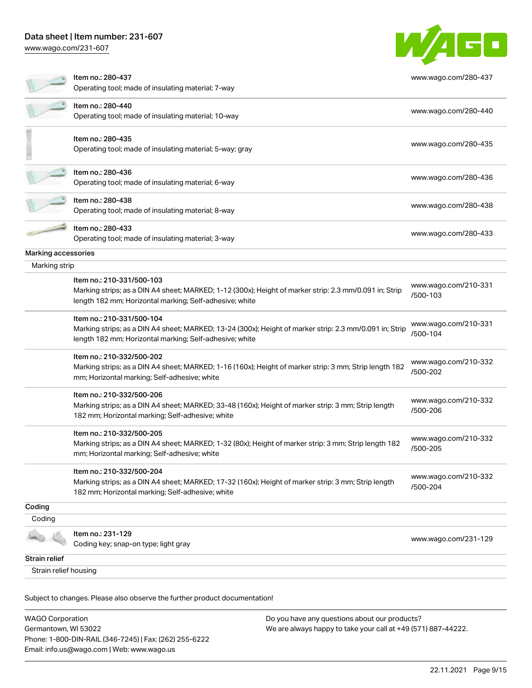[www.wago.com/231-607](http://www.wago.com/231-607)

|                       | Item no.: 280-437                                                                                                                                                  | www.wago.com/280-437             |
|-----------------------|--------------------------------------------------------------------------------------------------------------------------------------------------------------------|----------------------------------|
|                       | Operating tool; made of insulating material; 7-way                                                                                                                 |                                  |
|                       | Item no.: 280-440                                                                                                                                                  | www.wago.com/280-440             |
|                       | Operating tool; made of insulating material; 10-way                                                                                                                |                                  |
|                       | Item no.: 280-435                                                                                                                                                  |                                  |
|                       | Operating tool; made of insulating material; 5-way; gray                                                                                                           | www.wago.com/280-435             |
|                       | Item no.: 280-436                                                                                                                                                  | www.wago.com/280-436             |
|                       | Operating tool; made of insulating material; 6-way                                                                                                                 |                                  |
|                       | Item no.: 280-438                                                                                                                                                  | www.wago.com/280-438             |
|                       | Operating tool; made of insulating material; 8-way                                                                                                                 |                                  |
|                       | Item no.: 280-433                                                                                                                                                  | www.wago.com/280-433             |
|                       | Operating tool; made of insulating material; 3-way                                                                                                                 |                                  |
| Marking accessories   |                                                                                                                                                                    |                                  |
| Marking strip         |                                                                                                                                                                    |                                  |
|                       | Item no.: 210-331/500-103                                                                                                                                          | www.wago.com/210-331             |
|                       | Marking strips; as a DIN A4 sheet; MARKED; 1-12 (300x); Height of marker strip: 2.3 mm/0.091 in; Strip<br>length 182 mm; Horizontal marking; Self-adhesive; white  | /500-103                         |
|                       | Item no.: 210-331/500-104                                                                                                                                          | www.wago.com/210-331             |
|                       | Marking strips; as a DIN A4 sheet; MARKED; 13-24 (300x); Height of marker strip: 2.3 mm/0.091 in; Strip<br>length 182 mm; Horizontal marking; Self-adhesive; white | /500-104                         |
|                       | Item no.: 210-332/500-202                                                                                                                                          |                                  |
|                       | Marking strips; as a DIN A4 sheet; MARKED; 1-16 (160x); Height of marker strip: 3 mm; Strip length 182<br>mm; Horizontal marking; Self-adhesive; white             | www.wago.com/210-332<br>/500-202 |
|                       | Item no.: 210-332/500-206                                                                                                                                          |                                  |
|                       | Marking strips; as a DIN A4 sheet; MARKED; 33-48 (160x); Height of marker strip: 3 mm; Strip length                                                                | www.wago.com/210-332<br>/500-206 |
|                       | 182 mm; Horizontal marking; Self-adhesive; white                                                                                                                   |                                  |
|                       | Item no.: 210-332/500-205                                                                                                                                          | www.wago.com/210-332             |
|                       | Marking strips; as a DIN A4 sheet; MARKED; 1-32 (80x); Height of marker strip: 3 mm; Strip length 182<br>mm; Horizontal marking; Self-adhesive; white              | /500-205                         |
|                       | Item no.: 210-332/500-204                                                                                                                                          |                                  |
|                       | Marking strips; as a DIN A4 sheet; MARKED; 17-32 (160x); Height of marker strip: 3 mm; Strip length                                                                | www.wago.com/210-332<br>/500-204 |
|                       | 182 mm; Horizontal marking; Self-adhesive; white                                                                                                                   |                                  |
| Coding                |                                                                                                                                                                    |                                  |
| Coding                |                                                                                                                                                                    |                                  |
|                       | Item no.: 231-129<br>Coding key; snap-on type; light gray                                                                                                          | www.wago.com/231-129             |
| Strain relief         |                                                                                                                                                                    |                                  |
| Strain relief housing |                                                                                                                                                                    |                                  |

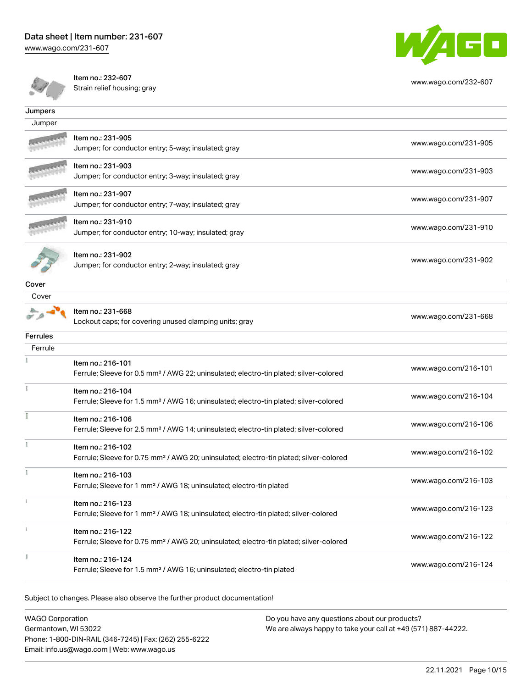[www.wago.com/231-607](http://www.wago.com/231-607)



[www.wago.com/232-607](http://www.wago.com/232-607)



Item no.: 232-607

Strain relief housing; gray

| Jumpers         |                                                                                                                         |                      |
|-----------------|-------------------------------------------------------------------------------------------------------------------------|----------------------|
| Jumper          |                                                                                                                         |                      |
|                 | Item no.: 231-905<br>Jumper; for conductor entry; 5-way; insulated; gray                                                | www.wago.com/231-905 |
|                 | Item no.: 231-903<br>Jumper; for conductor entry; 3-way; insulated; gray                                                | www.wago.com/231-903 |
|                 | Item no.: 231-907<br>Jumper; for conductor entry; 7-way; insulated; gray                                                | www.wago.com/231-907 |
|                 | Item no.: 231-910<br>Jumper; for conductor entry; 10-way; insulated; gray                                               | www.wago.com/231-910 |
|                 | Item no.: 231-902<br>Jumper; for conductor entry; 2-way; insulated; gray                                                | www.wago.com/231-902 |
| Cover           |                                                                                                                         |                      |
| Cover           |                                                                                                                         |                      |
|                 | Item no.: 231-668<br>Lockout caps; for covering unused clamping units; gray                                             | www.wago.com/231-668 |
| <b>Ferrules</b> |                                                                                                                         |                      |
| Ferrule         |                                                                                                                         |                      |
|                 | Item no.: 216-101<br>Ferrule; Sleeve for 0.5 mm <sup>2</sup> / AWG 22; uninsulated; electro-tin plated; silver-colored  | www.wago.com/216-101 |
|                 | Item no.: 216-104<br>Ferrule; Sleeve for 1.5 mm <sup>2</sup> / AWG 16; uninsulated; electro-tin plated; silver-colored  | www.wago.com/216-104 |
|                 | Item no.: 216-106<br>Ferrule; Sleeve for 2.5 mm <sup>2</sup> / AWG 14; uninsulated; electro-tin plated; silver-colored  | www.wago.com/216-106 |
|                 | Item no.: 216-102<br>Ferrule; Sleeve for 0.75 mm <sup>2</sup> / AWG 20; uninsulated; electro-tin plated; silver-colored | www.wago.com/216-102 |
|                 | Item no.: 216-103<br>Ferrule; Sleeve for 1 mm <sup>2</sup> / AWG 18; uninsulated; electro-tin plated                    | www.wago.com/216-103 |
|                 | Item no.: 216-123<br>Ferrule; Sleeve for 1 mm <sup>2</sup> / AWG 18; uninsulated; electro-tin plated; silver-colored    | www.wago.com/216-123 |
|                 | Item no.: 216-122<br>Ferrule; Sleeve for 0.75 mm <sup>2</sup> / AWG 20; uninsulated; electro-tin plated; silver-colored | www.wago.com/216-122 |
| ă.              | Item no.: 216-124<br>Ferrule; Sleeve for 1.5 mm <sup>2</sup> / AWG 16; uninsulated; electro-tin plated                  | www.wago.com/216-124 |

Subject to changes. Please also observe the further product documentation!

WAGO Corporation Germantown, WI 53022 Phone: 1-800-DIN-RAIL (346-7245) | Fax: (262) 255-6222 Email: info.us@wago.com | Web: www.wago.us Do you have any questions about our products? We are always happy to take your call at +49 (571) 887-44222.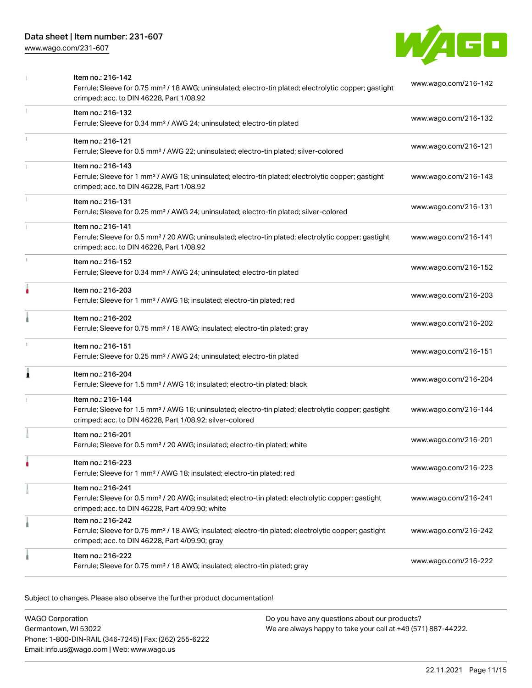[www.wago.com/231-607](http://www.wago.com/231-607)



|   | Item no.: 216-142<br>Ferrule; Sleeve for 0.75 mm <sup>2</sup> / 18 AWG; uninsulated; electro-tin plated; electrolytic copper; gastight<br>crimped; acc. to DIN 46228, Part 1/08.92                | www.wago.com/216-142 |
|---|---------------------------------------------------------------------------------------------------------------------------------------------------------------------------------------------------|----------------------|
|   | Item no.: 216-132<br>Ferrule; Sleeve for 0.34 mm <sup>2</sup> / AWG 24; uninsulated; electro-tin plated                                                                                           | www.wago.com/216-132 |
|   | Item no.: 216-121<br>Ferrule; Sleeve for 0.5 mm <sup>2</sup> / AWG 22; uninsulated; electro-tin plated; silver-colored                                                                            | www.wago.com/216-121 |
|   | Item no.: 216-143<br>Ferrule; Sleeve for 1 mm <sup>2</sup> / AWG 18; uninsulated; electro-tin plated; electrolytic copper; gastight<br>crimped; acc. to DIN 46228, Part 1/08.92                   | www.wago.com/216-143 |
|   | Item no.: 216-131<br>Ferrule; Sleeve for 0.25 mm <sup>2</sup> / AWG 24; uninsulated; electro-tin plated; silver-colored                                                                           | www.wago.com/216-131 |
|   | Item no.: 216-141<br>Ferrule; Sleeve for 0.5 mm <sup>2</sup> / 20 AWG; uninsulated; electro-tin plated; electrolytic copper; gastight<br>crimped; acc. to DIN 46228, Part 1/08.92                 | www.wago.com/216-141 |
|   | Item no.: 216-152<br>Ferrule; Sleeve for 0.34 mm <sup>2</sup> / AWG 24; uninsulated; electro-tin plated                                                                                           | www.wago.com/216-152 |
|   | Item no.: 216-203<br>Ferrule; Sleeve for 1 mm <sup>2</sup> / AWG 18; insulated; electro-tin plated; red                                                                                           | www.wago.com/216-203 |
|   | Item no.: 216-202<br>Ferrule; Sleeve for 0.75 mm <sup>2</sup> / 18 AWG; insulated; electro-tin plated; gray                                                                                       | www.wago.com/216-202 |
|   | Item no.: 216-151<br>Ferrule; Sleeve for 0.25 mm <sup>2</sup> / AWG 24; uninsulated; electro-tin plated                                                                                           | www.wago.com/216-151 |
| Â | Item no.: 216-204<br>Ferrule; Sleeve for 1.5 mm <sup>2</sup> / AWG 16; insulated; electro-tin plated; black                                                                                       | www.wago.com/216-204 |
|   | Item no.: 216-144<br>Ferrule; Sleeve for 1.5 mm <sup>2</sup> / AWG 16; uninsulated; electro-tin plated; electrolytic copper; gastight<br>crimped; acc. to DIN 46228, Part 1/08.92; silver-colored | www.wago.com/216-144 |
|   | Item no.: 216-201<br>Ferrule; Sleeve for 0.5 mm <sup>2</sup> / 20 AWG; insulated; electro-tin plated; white                                                                                       | www.wago.com/216-201 |
|   | Item no.: 216-223<br>Ferrule; Sleeve for 1 mm <sup>2</sup> / AWG 18; insulated; electro-tin plated; red                                                                                           | www.wago.com/216-223 |
|   | Item no.: 216-241<br>Ferrule; Sleeve for 0.5 mm <sup>2</sup> / 20 AWG; insulated; electro-tin plated; electrolytic copper; gastight<br>crimped; acc. to DIN 46228, Part 4/09.90; white            | www.wago.com/216-241 |
|   | Item no.: 216-242<br>Ferrule; Sleeve for 0.75 mm <sup>2</sup> / 18 AWG; insulated; electro-tin plated; electrolytic copper; gastight<br>crimped; acc. to DIN 46228, Part 4/09.90; gray            | www.wago.com/216-242 |
|   | Item no.: 216-222<br>Ferrule; Sleeve for 0.75 mm <sup>2</sup> / 18 AWG; insulated; electro-tin plated; gray                                                                                       | www.wago.com/216-222 |

| WAGO Corporation                                       | Do you have any questions about our products?                 |
|--------------------------------------------------------|---------------------------------------------------------------|
| Germantown, WI 53022                                   | We are always happy to take your call at +49 (571) 887-44222. |
| Phone: 1-800-DIN-RAIL (346-7245)   Fax: (262) 255-6222 |                                                               |
| Email: info.us@wago.com   Web: www.wago.us             |                                                               |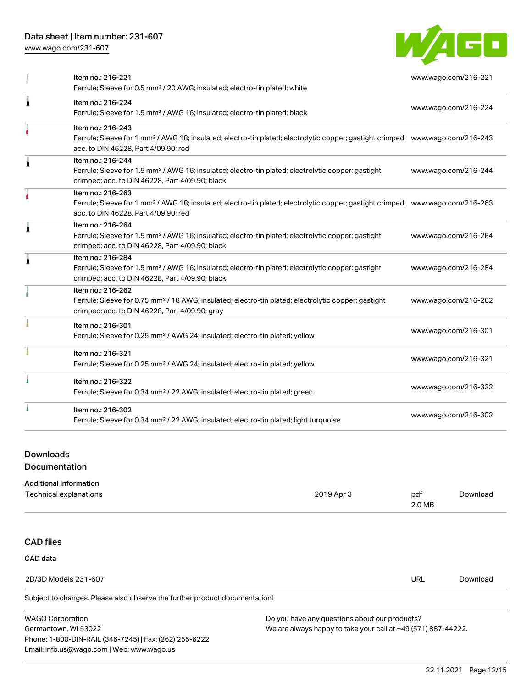[www.wago.com/231-607](http://www.wago.com/231-607)



|    | Item no.: 216-221                                                                                                                                                 | www.wago.com/216-221 |
|----|-------------------------------------------------------------------------------------------------------------------------------------------------------------------|----------------------|
|    | Ferrule; Sleeve for 0.5 mm <sup>2</sup> / 20 AWG; insulated; electro-tin plated; white                                                                            |                      |
| Â  | Item no.: 216-224                                                                                                                                                 |                      |
|    | Ferrule; Sleeve for 1.5 mm <sup>2</sup> / AWG 16; insulated; electro-tin plated; black                                                                            | www.wago.com/216-224 |
|    | Item no.: 216-243                                                                                                                                                 |                      |
|    | Ferrule; Sleeve for 1 mm <sup>2</sup> / AWG 18; insulated; electro-tin plated; electrolytic copper; gastight crimped; www.wago.com/216-243                        |                      |
|    | acc. to DIN 46228, Part 4/09.90; red                                                                                                                              |                      |
| ۸  | Item no.: 216-244                                                                                                                                                 |                      |
|    | Ferrule; Sleeve for 1.5 mm <sup>2</sup> / AWG 16; insulated; electro-tin plated; electrolytic copper; gastight<br>crimped; acc. to DIN 46228, Part 4/09.90; black | www.wago.com/216-244 |
|    | Item no.: 216-263                                                                                                                                                 |                      |
|    | Ferrule; Sleeve for 1 mm <sup>2</sup> / AWG 18; insulated; electro-tin plated; electrolytic copper; gastight crimped; www.wago.com/216-263                        |                      |
|    | acc. to DIN 46228, Part 4/09.90; red                                                                                                                              |                      |
| Â  | Item no.: 216-264                                                                                                                                                 |                      |
|    | Ferrule; Sleeve for 1.5 mm <sup>2</sup> / AWG 16; insulated; electro-tin plated; electrolytic copper; gastight<br>crimped; acc. to DIN 46228, Part 4/09.90; black | www.wago.com/216-264 |
|    | Item no.: 216-284                                                                                                                                                 |                      |
| ٠  | Ferrule; Sleeve for 1.5 mm <sup>2</sup> / AWG 16; insulated; electro-tin plated; electrolytic copper; gastight                                                    | www.wago.com/216-284 |
|    | crimped; acc. to DIN 46228, Part 4/09.90; black                                                                                                                   |                      |
|    | Item no.: 216-262                                                                                                                                                 |                      |
|    | Ferrule; Sleeve for 0.75 mm <sup>2</sup> / 18 AWG; insulated; electro-tin plated; electrolytic copper; gastight                                                   | www.wago.com/216-262 |
|    | crimped; acc. to DIN 46228, Part 4/09.90; gray                                                                                                                    |                      |
|    | Item no.: 216-301                                                                                                                                                 | www.wago.com/216-301 |
|    | Ferrule; Sleeve for 0.25 mm <sup>2</sup> / AWG 24; insulated; electro-tin plated; yellow                                                                          |                      |
|    | Item no.: 216-321                                                                                                                                                 |                      |
|    | Ferrule; Sleeve for 0.25 mm <sup>2</sup> / AWG 24; insulated; electro-tin plated; yellow                                                                          | www.wago.com/216-321 |
| ì. | Item no.: 216-322                                                                                                                                                 |                      |
|    | Ferrule; Sleeve for 0.34 mm <sup>2</sup> / 22 AWG; insulated; electro-tin plated; green                                                                           | www.wago.com/216-322 |
| ٠  | Item no.: 216-302                                                                                                                                                 |                      |
|    | Ferrule; Sleeve for 0.34 mm <sup>2</sup> / 22 AWG; insulated; electro-tin plated; light turquoise                                                                 | www.wago.com/216-302 |
|    |                                                                                                                                                                   |                      |

## Downloads

Documentation

#### Additional Information

Email: info.us@wago.com | Web: www.wago.us

| Technical explanations                                                     | 2019 Apr 3                                                    | pdf<br>2.0 MB | Download |
|----------------------------------------------------------------------------|---------------------------------------------------------------|---------------|----------|
|                                                                            |                                                               |               |          |
| <b>CAD files</b>                                                           |                                                               |               |          |
| CAD data                                                                   |                                                               |               |          |
| 2D/3D Models 231-607                                                       |                                                               | <b>URL</b>    | Download |
| Subject to changes. Please also observe the further product documentation! |                                                               |               |          |
| <b>WAGO Corporation</b>                                                    | Do you have any questions about our products?                 |               |          |
| Germantown, WI 53022                                                       | We are always happy to take your call at +49 (571) 887-44222. |               |          |
| Phone: 1-800-DIN-RAIL (346-7245)   Fax: (262) 255-6222                     |                                                               |               |          |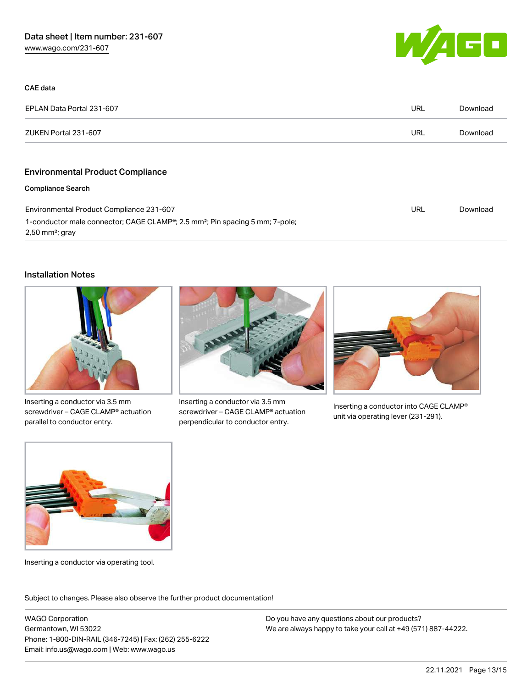

| CAE data                                                                                                                               |     |          |
|----------------------------------------------------------------------------------------------------------------------------------------|-----|----------|
| EPLAN Data Portal 231-607                                                                                                              | URL | Download |
| ZUKEN Portal 231-607                                                                                                                   | URL | Download |
|                                                                                                                                        |     |          |
| <b>Environmental Product Compliance</b>                                                                                                |     |          |
| <b>Compliance Search</b>                                                                                                               |     |          |
| Environmental Product Compliance 231-607                                                                                               | URL | Download |
| 1-conductor male connector; CAGE CLAMP <sup>®</sup> ; 2.5 mm <sup>2</sup> ; Pin spacing 5 mm; 7-pole;<br>$2,50$ mm <sup>2</sup> ; gray |     |          |

#### Installation Notes



Inserting a conductor via 3.5 mm screwdriver – CAGE CLAMP® actuation parallel to conductor entry.



Inserting a conductor via 3.5 mm screwdriver – CAGE CLAMP® actuation perpendicular to conductor entry.



Inserting a conductor into CAGE CLAMP® unit via operating lever (231-291).



Inserting a conductor via operating tool.

Subject to changes. Please also observe the further product documentation!

WAGO Corporation Germantown, WI 53022 Phone: 1-800-DIN-RAIL (346-7245) | Fax: (262) 255-6222 Email: info.us@wago.com | Web: www.wago.us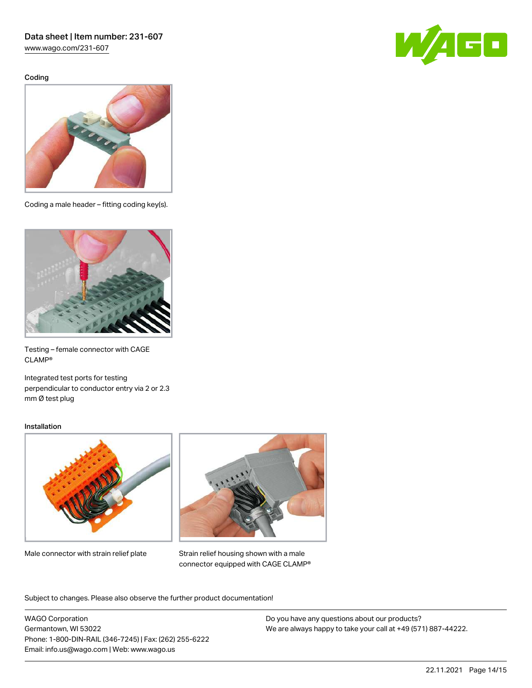[www.wago.com/231-607](http://www.wago.com/231-607)

Coding





Coding a male header – fitting coding key(s).



Testing – female connector with CAGE CLAMP®

Integrated test ports for testing perpendicular to conductor entry via 2 or 2.3 mm Ø test plug

#### Installation



Male connector with strain relief plate



Strain relief housing shown with a male connector equipped with CAGE CLAMP®

Subject to changes. Please also observe the further product documentation!

WAGO Corporation Germantown, WI 53022 Phone: 1-800-DIN-RAIL (346-7245) | Fax: (262) 255-6222 Email: info.us@wago.com | Web: www.wago.us